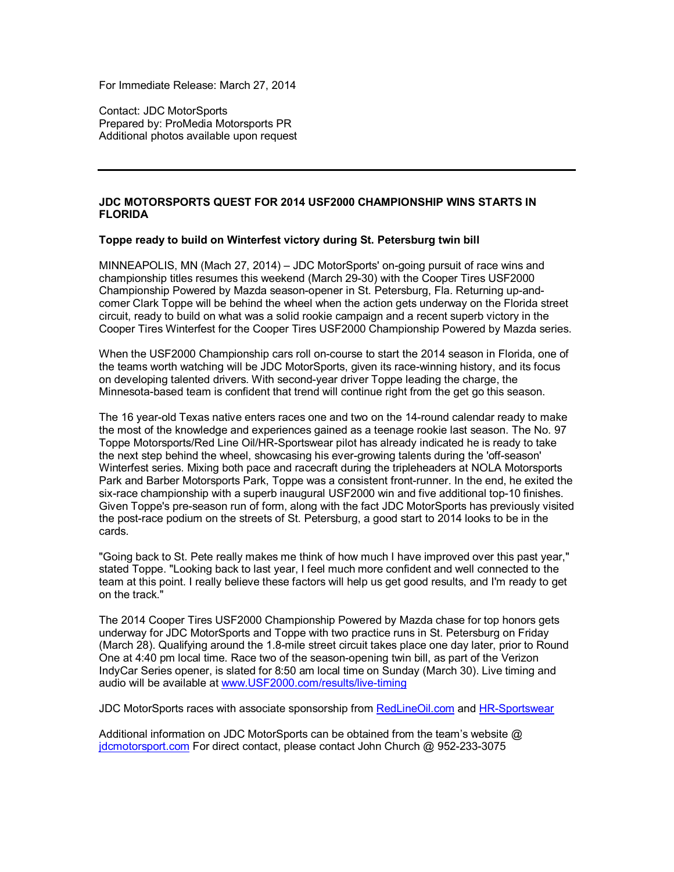For Immediate Release: March 27, 2014

Contact: JDC MotorSports Prepared by: ProMedia Motorsports PR Additional photos available upon request

## **JDC MOTORSPORTS QUEST FOR 2014 USF2000 CHAMPIONSHIP WINS STARTS IN FLORIDA**

## **Toppe ready to build on Winterfest victory during St. Petersburg twin bill**

MINNEAPOLIS, MN (Mach 27, 2014) – JDC MotorSports' on-going pursuit of race wins and championship titles resumes this weekend (March 29-30) with the Cooper Tires USF2000 Championship Powered by Mazda season-opener in St. Petersburg, Fla. Returning up-andcomer Clark Toppe will be behind the wheel when the action gets underway on the Florida street circuit, ready to build on what was a solid rookie campaign and a recent superb victory in the Cooper Tires Winterfest for the Cooper Tires USF2000 Championship Powered by Mazda series.

When the USF2000 Championship cars roll on-course to start the 2014 season in Florida, one of the teams worth watching will be JDC MotorSports, given its race-winning history, and its focus on developing talented drivers. With second-year driver Toppe leading the charge, the Minnesota-based team is confident that trend will continue right from the get go this season.

The 16 year-old Texas native enters races one and two on the 14-round calendar ready to make the most of the knowledge and experiences gained as a teenage rookie last season. The No. 97 Toppe Motorsports/Red Line Oil/HR-Sportswear pilot has already indicated he is ready to take the next step behind the wheel, showcasing his ever-growing talents during the 'off-season' Winterfest series. Mixing both pace and racecraft during the tripleheaders at NOLA Motorsports Park and Barber Motorsports Park, Toppe was a consistent front-runner. In the end, he exited the six-race championship with a superb inaugural USF2000 win and five additional top-10 finishes. Given Toppe's pre-season run of form, along with the fact JDC MotorSports has previously visited the post-race podium on the streets of St. Petersburg, a good start to 2014 looks to be in the cards.

"Going back to St. Pete really makes me think of how much I have improved over this past year," stated Toppe. "Looking back to last year, I feel much more confident and well connected to the team at this point. I really believe these factors will help us get good results, and I'm ready to get on the track."

The 2014 Cooper Tires USF2000 Championship Powered by Mazda chase for top honors gets underway for JDC MotorSports and Toppe with two practice runs in St. Petersburg on Friday (March 28). Qualifying around the 1.8-mile street circuit takes place one day later, prior to Round One at 4:40 pm local time. Race two of the season-opening twin bill, as part of the Verizon IndyCar Series opener, is slated for 8:50 am local time on Sunday (March 30). Live timing and audio will be available at www.USF2000.com/results/live-timing

JDC MotorSports races with associate sponsorship from RedLineOil.com and HR-Sportswear

Additional information on JDC MotorSports can be obtained from the team's website @ jdcmotorsport.com For direct contact, please contact John Church @ 952-233-3075